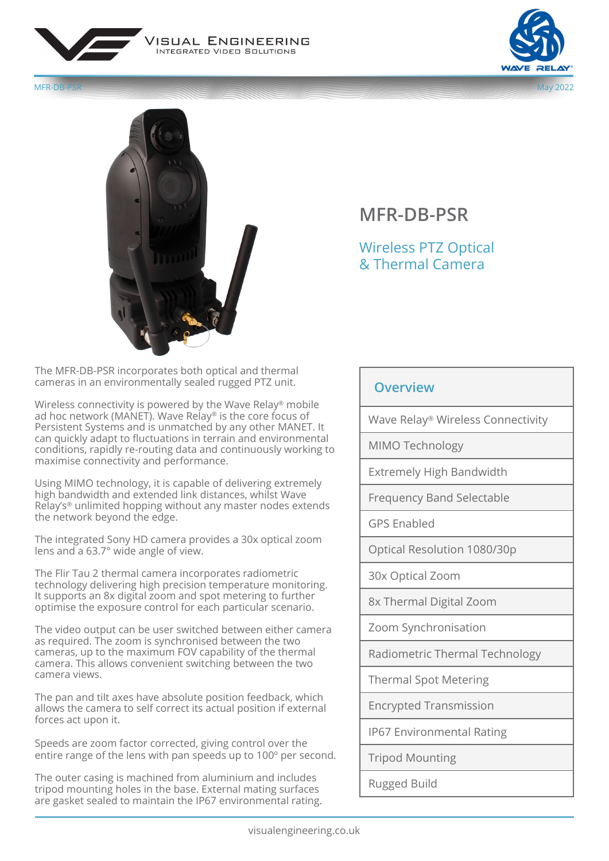







The MFR-DB-PSR incorporates both optical and thermal cameras in an environmentally sealed rugged PTZ unit.

Wireless connectivity is powered by the Wave Relay® mobile ad hoc network (MANET). Wave Relay® is the core focus of Persistent Systems and is unmatched by any other MANET. It can quickly adapt to fluctuations in terrain and environmental conditions, rapidly re-routing data and continuously working to maximise connectivity and performance.

Using MIMO technology, it is capable of delivering extremely high bandwidth and extended link distances, whilst Wave Relay's® unlimited hopping without any master nodes extends the network beyond the edge.

The integrated Sony HD camera provides a 30x optical zoom lens and a 63.7° wide angle of view.

The Flir Tau 2 thermal camera incorporates radiometric technology delivering high precision temperature monitoring. It supports an 8x digital zoom and spot metering to further optimise the exposure control for each particular scenario.

The video output can be user switched between either camera as required. The zoom is synchronised between the two cameras, up to the maximum FOV capability of the thermal camera. This allows convenient switching between the two camera views.

The pan and tilt axes have absolute position feedback, which allows the camera to self correct its actual position if external forces act upon it.

Speeds are zoom factor corrected, giving control over the entire range of the lens with pan speeds up to 100º per second.

The outer casing is machined from aluminium and includes tripod mounting holes in the base. External mating surfaces are gasket sealed to maintain the IP67 environmental rating.

## **MFR-DB-PSR**

## Wireless PTZ Optical & Thermal Camera

## **Overview**

Wave Relay® Wireless Connectivity

MIMO Technology

Extremely High Bandwidth

Frequency Band Selectable

GPS Enabled

Optical Resolution 1080/30p

30x Optical Zoom

8x Thermal Digital Zoom

Zoom Synchronisation

Radiometric Thermal Technology

Thermal Spot Metering

Encrypted Transmission

IP67 Environmental Rating

Tripod Mounting

Rugged Build